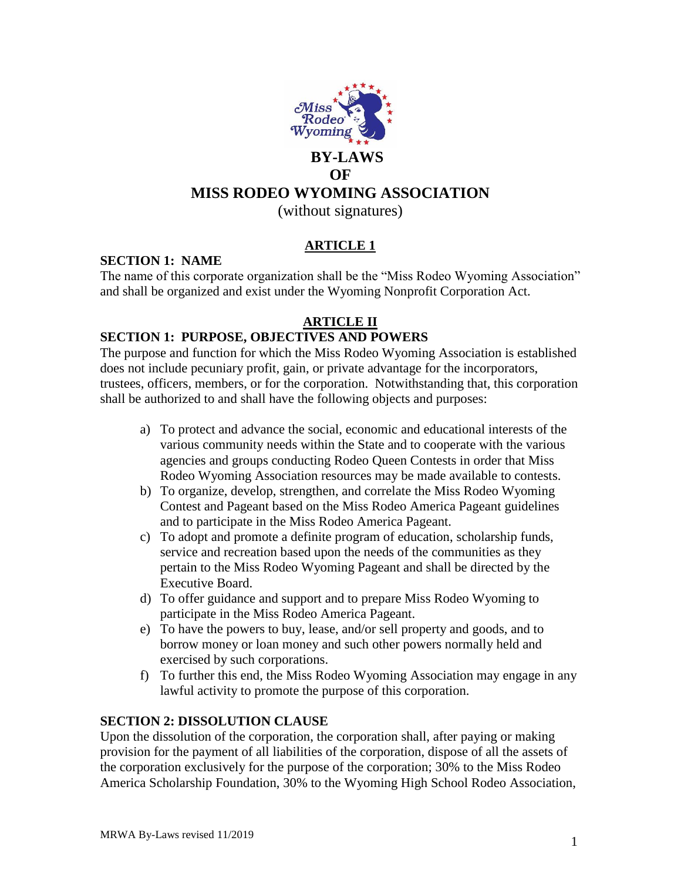

# **OF**

# **MISS RODEO WYOMING ASSOCIATION**

(without signatures)

# **ARTICLE 1**

## **SECTION 1: NAME**

The name of this corporate organization shall be the "Miss Rodeo Wyoming Association" and shall be organized and exist under the Wyoming Nonprofit Corporation Act.

# **ARTICLE II**

## **SECTION 1: PURPOSE, OBJECTIVES AND POWERS**

The purpose and function for which the Miss Rodeo Wyoming Association is established does not include pecuniary profit, gain, or private advantage for the incorporators, trustees, officers, members, or for the corporation. Notwithstanding that, this corporation shall be authorized to and shall have the following objects and purposes:

- a) To protect and advance the social, economic and educational interests of the various community needs within the State and to cooperate with the various agencies and groups conducting Rodeo Queen Contests in order that Miss Rodeo Wyoming Association resources may be made available to contests.
- b) To organize, develop, strengthen, and correlate the Miss Rodeo Wyoming Contest and Pageant based on the Miss Rodeo America Pageant guidelines and to participate in the Miss Rodeo America Pageant.
- c) To adopt and promote a definite program of education, scholarship funds, service and recreation based upon the needs of the communities as they pertain to the Miss Rodeo Wyoming Pageant and shall be directed by the Executive Board.
- d) To offer guidance and support and to prepare Miss Rodeo Wyoming to participate in the Miss Rodeo America Pageant.
- e) To have the powers to buy, lease, and/or sell property and goods, and to borrow money or loan money and such other powers normally held and exercised by such corporations.
- f) To further this end, the Miss Rodeo Wyoming Association may engage in any lawful activity to promote the purpose of this corporation.

### **SECTION 2: DISSOLUTION CLAUSE**

Upon the dissolution of the corporation, the corporation shall, after paying or making provision for the payment of all liabilities of the corporation, dispose of all the assets of the corporation exclusively for the purpose of the corporation; 30% to the Miss Rodeo America Scholarship Foundation, 30% to the Wyoming High School Rodeo Association,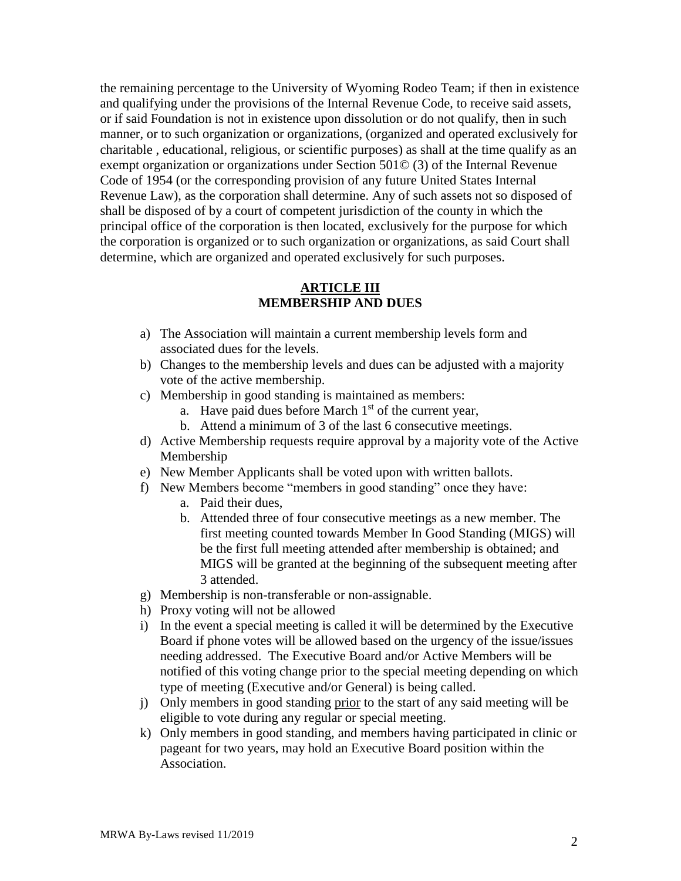the remaining percentage to the University of Wyoming Rodeo Team; if then in existence and qualifying under the provisions of the Internal Revenue Code, to receive said assets, or if said Foundation is not in existence upon dissolution or do not qualify, then in such manner, or to such organization or organizations, (organized and operated exclusively for charitable , educational, religious, or scientific purposes) as shall at the time qualify as an exempt organization or organizations under Section 501© (3) of the Internal Revenue Code of 1954 (or the corresponding provision of any future United States Internal Revenue Law), as the corporation shall determine. Any of such assets not so disposed of shall be disposed of by a court of competent jurisdiction of the county in which the principal office of the corporation is then located, exclusively for the purpose for which the corporation is organized or to such organization or organizations, as said Court shall determine, which are organized and operated exclusively for such purposes.

## **ARTICLE III MEMBERSHIP AND DUES**

- a) The Association will maintain a current membership levels form and associated dues for the levels.
- b) Changes to the membership levels and dues can be adjusted with a majority vote of the active membership.
- c) Membership in good standing is maintained as members:
	- a. Have paid dues before March  $1<sup>st</sup>$  of the current year,
	- b. Attend a minimum of 3 of the last 6 consecutive meetings.
- d) Active Membership requests require approval by a majority vote of the Active Membership
- e) New Member Applicants shall be voted upon with written ballots.
- f) New Members become "members in good standing" once they have:
	- a. Paid their dues,
	- b. Attended three of four consecutive meetings as a new member. The first meeting counted towards Member In Good Standing (MIGS) will be the first full meeting attended after membership is obtained; and MIGS will be granted at the beginning of the subsequent meeting after 3 attended.
- g) Membership is non-transferable or non-assignable.
- h) Proxy voting will not be allowed
- i) In the event a special meeting is called it will be determined by the Executive Board if phone votes will be allowed based on the urgency of the issue/issues needing addressed. The Executive Board and/or Active Members will be notified of this voting change prior to the special meeting depending on which type of meeting (Executive and/or General) is being called.
- j) Only members in good standing prior to the start of any said meeting will be eligible to vote during any regular or special meeting.
- k) Only members in good standing, and members having participated in clinic or pageant for two years, may hold an Executive Board position within the Association.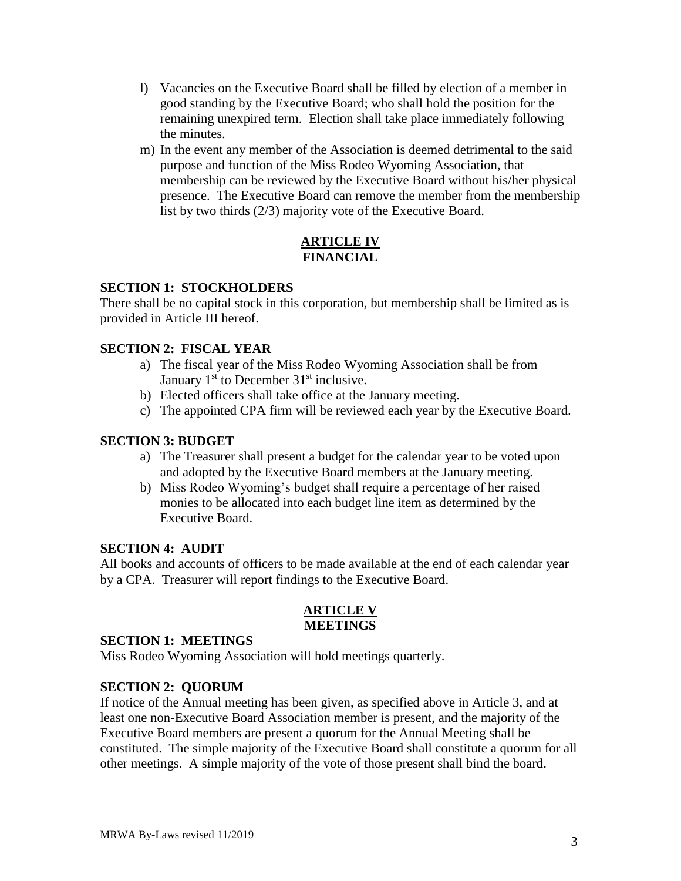- l) Vacancies on the Executive Board shall be filled by election of a member in good standing by the Executive Board; who shall hold the position for the remaining unexpired term. Election shall take place immediately following the minutes.
- m) In the event any member of the Association is deemed detrimental to the said purpose and function of the Miss Rodeo Wyoming Association, that membership can be reviewed by the Executive Board without his/her physical presence. The Executive Board can remove the member from the membership list by two thirds (2/3) majority vote of the Executive Board.

## **ARTICLE IV FINANCIAL**

## **SECTION 1: STOCKHOLDERS**

There shall be no capital stock in this corporation, but membership shall be limited as is provided in Article III hereof.

## **SECTION 2: FISCAL YEAR**

- a) The fiscal year of the Miss Rodeo Wyoming Association shall be from January  $1<sup>st</sup>$  to December  $31<sup>st</sup>$  inclusive.
- b) Elected officers shall take office at the January meeting.
- c) The appointed CPA firm will be reviewed each year by the Executive Board.

## **SECTION 3: BUDGET**

- a) The Treasurer shall present a budget for the calendar year to be voted upon and adopted by the Executive Board members at the January meeting.
- b) Miss Rodeo Wyoming's budget shall require a percentage of her raised monies to be allocated into each budget line item as determined by the Executive Board.

### **SECTION 4: AUDIT**

All books and accounts of officers to be made available at the end of each calendar year by a CPA. Treasurer will report findings to the Executive Board.

### **ARTICLE V MEETINGS**

#### **SECTION 1: MEETINGS**

Miss Rodeo Wyoming Association will hold meetings quarterly.

### **SECTION 2: QUORUM**

If notice of the Annual meeting has been given, as specified above in Article 3, and at least one non-Executive Board Association member is present, and the majority of the Executive Board members are present a quorum for the Annual Meeting shall be constituted. The simple majority of the Executive Board shall constitute a quorum for all other meetings. A simple majority of the vote of those present shall bind the board.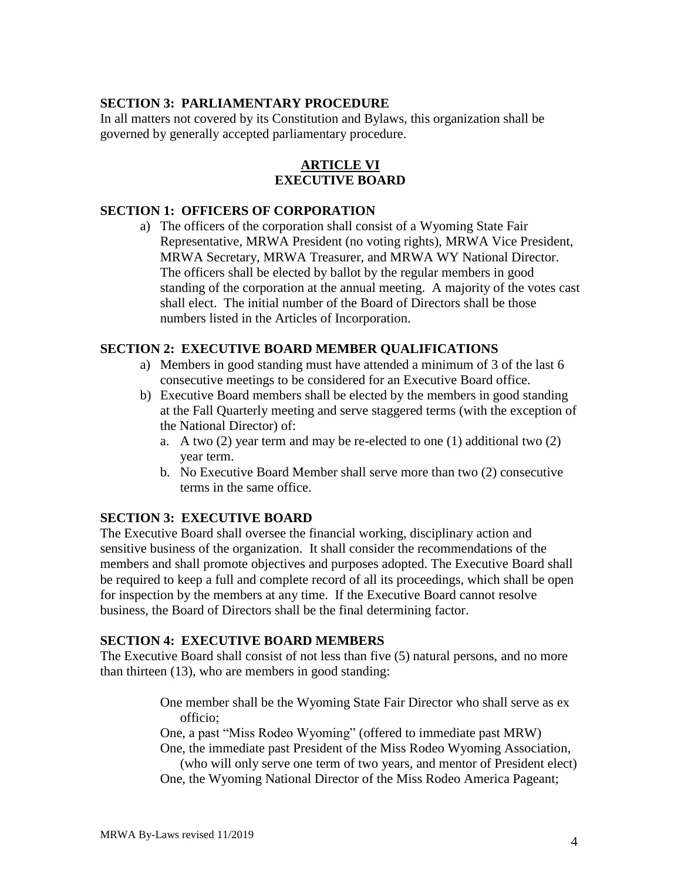## **SECTION 3: PARLIAMENTARY PROCEDURE**

In all matters not covered by its Constitution and Bylaws, this organization shall be governed by generally accepted parliamentary procedure.

#### **ARTICLE VI EXECUTIVE BOARD**

## **SECTION 1: OFFICERS OF CORPORATION**

a) The officers of the corporation shall consist of a Wyoming State Fair Representative, MRWA President (no voting rights), MRWA Vice President, MRWA Secretary, MRWA Treasurer, and MRWA WY National Director. The officers shall be elected by ballot by the regular members in good standing of the corporation at the annual meeting. A majority of the votes cast shall elect. The initial number of the Board of Directors shall be those numbers listed in the Articles of Incorporation.

### **SECTION 2: EXECUTIVE BOARD MEMBER QUALIFICATIONS**

- a) Members in good standing must have attended a minimum of 3 of the last 6 consecutive meetings to be considered for an Executive Board office.
- b) Executive Board members shall be elected by the members in good standing at the Fall Quarterly meeting and serve staggered terms (with the exception of the National Director) of:
	- a. A two (2) year term and may be re-elected to one (1) additional two (2) year term.
	- b. No Executive Board Member shall serve more than two (2) consecutive terms in the same office.

### **SECTION 3: EXECUTIVE BOARD**

The Executive Board shall oversee the financial working, disciplinary action and sensitive business of the organization. It shall consider the recommendations of the members and shall promote objectives and purposes adopted. The Executive Board shall be required to keep a full and complete record of all its proceedings, which shall be open for inspection by the members at any time. If the Executive Board cannot resolve business, the Board of Directors shall be the final determining factor.

### **SECTION 4: EXECUTIVE BOARD MEMBERS**

The Executive Board shall consist of not less than five (5) natural persons, and no more than thirteen (13), who are members in good standing:

> One member shall be the Wyoming State Fair Director who shall serve as ex officio;

> One, a past "Miss Rodeo Wyoming" (offered to immediate past MRW) One, the immediate past President of the Miss Rodeo Wyoming Association,

(who will only serve one term of two years, and mentor of President elect) One, the Wyoming National Director of the Miss Rodeo America Pageant;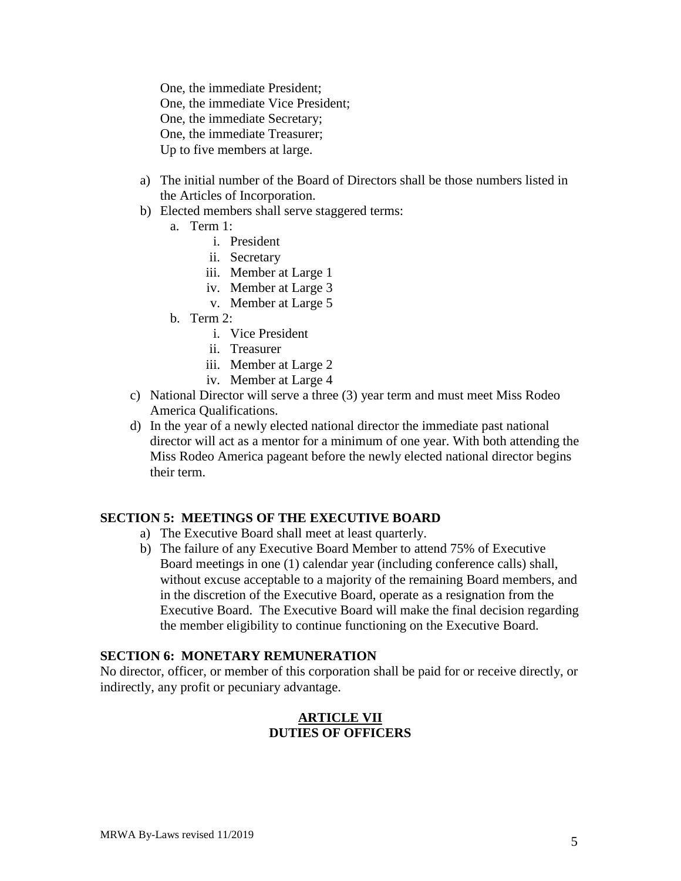One, the immediate President; One, the immediate Vice President; One, the immediate Secretary; One, the immediate Treasurer; Up to five members at large.

- a) The initial number of the Board of Directors shall be those numbers listed in the Articles of Incorporation.
- b) Elected members shall serve staggered terms:
	- a. Term 1:
		- i. President
		- ii. Secretary
		- iii. Member at Large 1
		- iv. Member at Large 3
		- v. Member at Large 5
	- b. Term 2:
		- i. Vice President
		- ii. Treasurer
		- iii. Member at Large 2
		- iv. Member at Large 4
- c) National Director will serve a three (3) year term and must meet Miss Rodeo America Qualifications.
- d) In the year of a newly elected national director the immediate past national director will act as a mentor for a minimum of one year. With both attending the Miss Rodeo America pageant before the newly elected national director begins their term.

#### **SECTION 5: MEETINGS OF THE EXECUTIVE BOARD**

- a) The Executive Board shall meet at least quarterly.
- b) The failure of any Executive Board Member to attend 75% of Executive Board meetings in one (1) calendar year (including conference calls) shall, without excuse acceptable to a majority of the remaining Board members, and in the discretion of the Executive Board, operate as a resignation from the Executive Board. The Executive Board will make the final decision regarding the member eligibility to continue functioning on the Executive Board.

#### **SECTION 6: MONETARY REMUNERATION**

No director, officer, or member of this corporation shall be paid for or receive directly, or indirectly, any profit or pecuniary advantage.

### **ARTICLE VII DUTIES OF OFFICERS**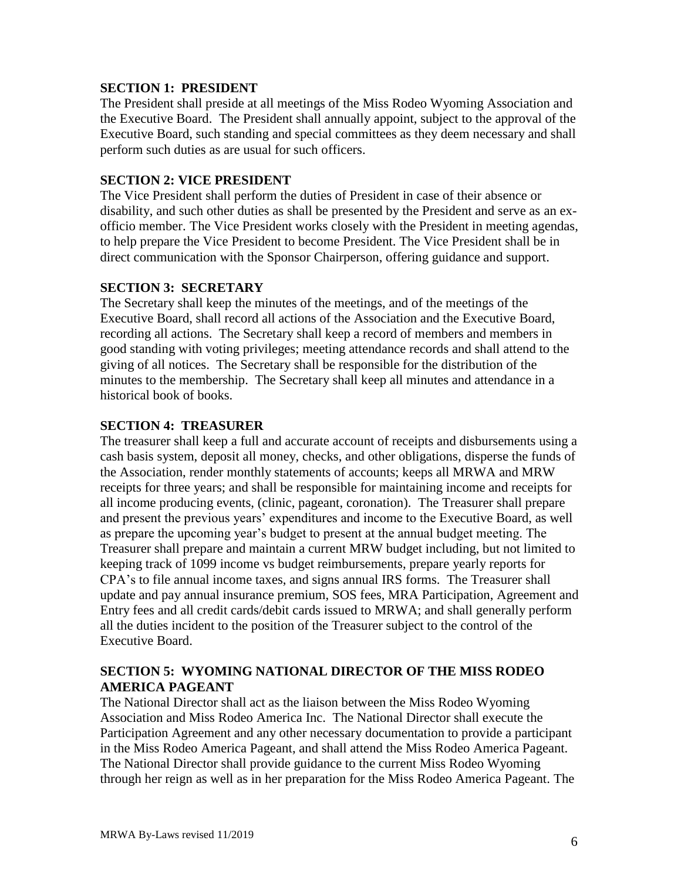## **SECTION 1: PRESIDENT**

The President shall preside at all meetings of the Miss Rodeo Wyoming Association and the Executive Board. The President shall annually appoint, subject to the approval of the Executive Board, such standing and special committees as they deem necessary and shall perform such duties as are usual for such officers.

## **SECTION 2: VICE PRESIDENT**

The Vice President shall perform the duties of President in case of their absence or disability, and such other duties as shall be presented by the President and serve as an exofficio member. The Vice President works closely with the President in meeting agendas, to help prepare the Vice President to become President. The Vice President shall be in direct communication with the Sponsor Chairperson, offering guidance and support.

## **SECTION 3: SECRETARY**

The Secretary shall keep the minutes of the meetings, and of the meetings of the Executive Board, shall record all actions of the Association and the Executive Board, recording all actions. The Secretary shall keep a record of members and members in good standing with voting privileges; meeting attendance records and shall attend to the giving of all notices. The Secretary shall be responsible for the distribution of the minutes to the membership. The Secretary shall keep all minutes and attendance in a historical book of books.

### **SECTION 4: TREASURER**

The treasurer shall keep a full and accurate account of receipts and disbursements using a cash basis system, deposit all money, checks, and other obligations, disperse the funds of the Association, render monthly statements of accounts; keeps all MRWA and MRW receipts for three years; and shall be responsible for maintaining income and receipts for all income producing events, (clinic, pageant, coronation). The Treasurer shall prepare and present the previous years' expenditures and income to the Executive Board, as well as prepare the upcoming year's budget to present at the annual budget meeting. The Treasurer shall prepare and maintain a current MRW budget including, but not limited to keeping track of 1099 income vs budget reimbursements, prepare yearly reports for CPA's to file annual income taxes, and signs annual IRS forms. The Treasurer shall update and pay annual insurance premium, SOS fees, MRA Participation, Agreement and Entry fees and all credit cards/debit cards issued to MRWA; and shall generally perform all the duties incident to the position of the Treasurer subject to the control of the Executive Board.

## **SECTION 5: WYOMING NATIONAL DIRECTOR OF THE MISS RODEO AMERICA PAGEANT**

The National Director shall act as the liaison between the Miss Rodeo Wyoming Association and Miss Rodeo America Inc. The National Director shall execute the Participation Agreement and any other necessary documentation to provide a participant in the Miss Rodeo America Pageant, and shall attend the Miss Rodeo America Pageant. The National Director shall provide guidance to the current Miss Rodeo Wyoming through her reign as well as in her preparation for the Miss Rodeo America Pageant. The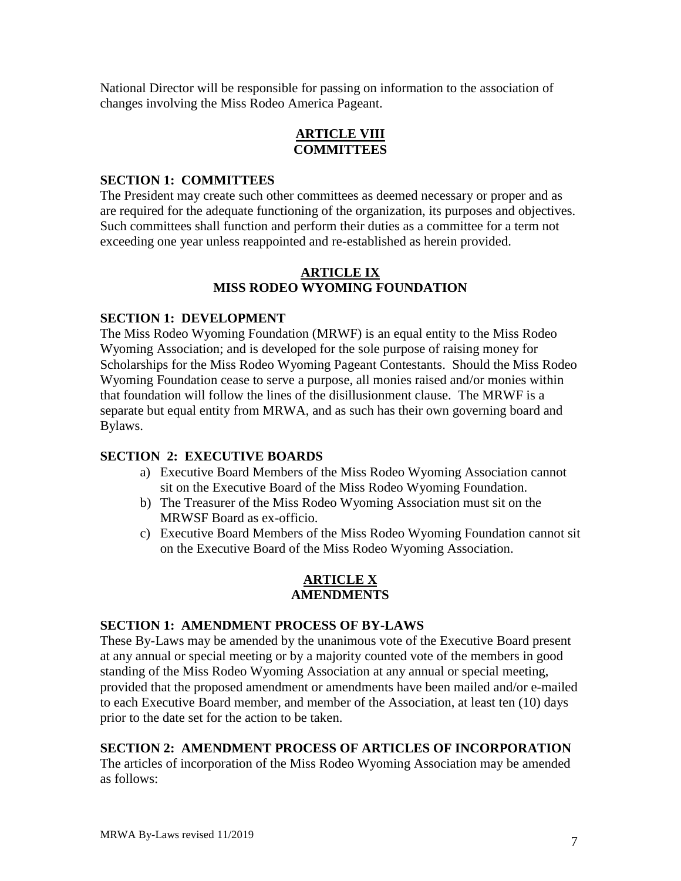National Director will be responsible for passing on information to the association of changes involving the Miss Rodeo America Pageant.

## **ARTICLE VIII COMMITTEES**

## **SECTION 1: COMMITTEES**

The President may create such other committees as deemed necessary or proper and as are required for the adequate functioning of the organization, its purposes and objectives. Such committees shall function and perform their duties as a committee for a term not exceeding one year unless reappointed and re-established as herein provided.

## **ARTICLE IX MISS RODEO WYOMING FOUNDATION**

## **SECTION 1: DEVELOPMENT**

The Miss Rodeo Wyoming Foundation (MRWF) is an equal entity to the Miss Rodeo Wyoming Association; and is developed for the sole purpose of raising money for Scholarships for the Miss Rodeo Wyoming Pageant Contestants. Should the Miss Rodeo Wyoming Foundation cease to serve a purpose, all monies raised and/or monies within that foundation will follow the lines of the disillusionment clause. The MRWF is a separate but equal entity from MRWA, and as such has their own governing board and Bylaws.

## **SECTION 2: EXECUTIVE BOARDS**

- a) Executive Board Members of the Miss Rodeo Wyoming Association cannot sit on the Executive Board of the Miss Rodeo Wyoming Foundation.
- b) The Treasurer of the Miss Rodeo Wyoming Association must sit on the MRWSF Board as ex-officio.
- c) Executive Board Members of the Miss Rodeo Wyoming Foundation cannot sit on the Executive Board of the Miss Rodeo Wyoming Association.

#### **ARTICLE X AMENDMENTS**

## **SECTION 1: AMENDMENT PROCESS OF BY-LAWS**

These By-Laws may be amended by the unanimous vote of the Executive Board present at any annual or special meeting or by a majority counted vote of the members in good standing of the Miss Rodeo Wyoming Association at any annual or special meeting, provided that the proposed amendment or amendments have been mailed and/or e-mailed to each Executive Board member, and member of the Association, at least ten (10) days prior to the date set for the action to be taken.

## **SECTION 2: AMENDMENT PROCESS OF ARTICLES OF INCORPORATION**

The articles of incorporation of the Miss Rodeo Wyoming Association may be amended as follows: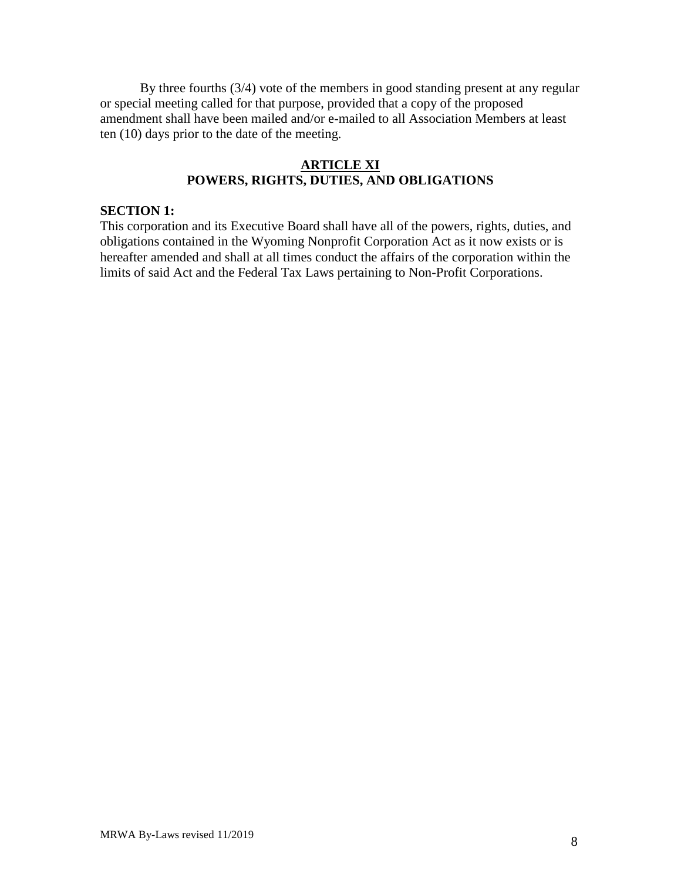By three fourths (3/4) vote of the members in good standing present at any regular or special meeting called for that purpose, provided that a copy of the proposed amendment shall have been mailed and/or e-mailed to all Association Members at least ten (10) days prior to the date of the meeting.

### **ARTICLE XI POWERS, RIGHTS, DUTIES, AND OBLIGATIONS**

### **SECTION 1:**

This corporation and its Executive Board shall have all of the powers, rights, duties, and obligations contained in the Wyoming Nonprofit Corporation Act as it now exists or is hereafter amended and shall at all times conduct the affairs of the corporation within the limits of said Act and the Federal Tax Laws pertaining to Non-Profit Corporations.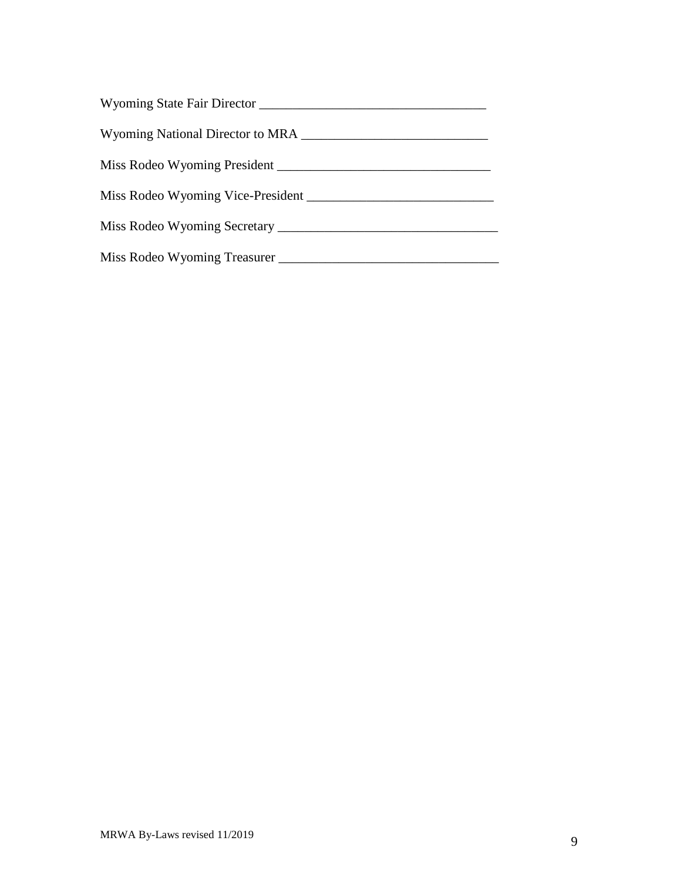| Miss Rodeo Wyoming President |
|------------------------------|
|                              |
|                              |
| Miss Rodeo Wyoming Treasurer |